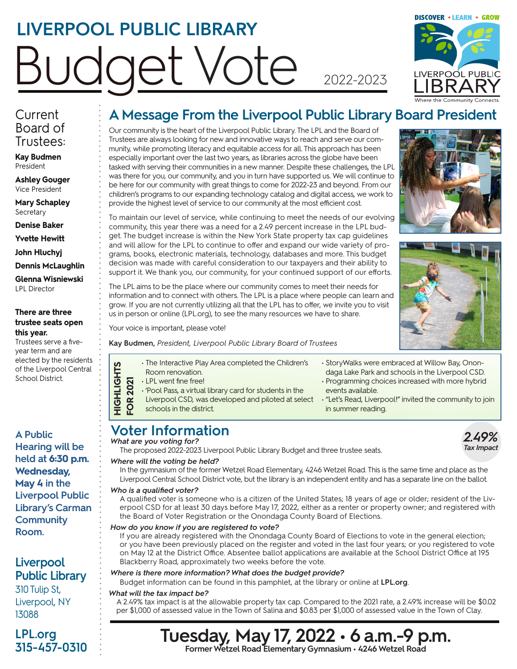# LIVERPOOL PUBLIC LIBRARY Budget Vote 2022-2023

# **DISCOVER . LEARN . GROW** LIVERPOÓL PUBLIC

### **Current** Board of Trustees:

**Kay Budmen** President

**Ashley Gouger** Vice President

**Mary Schapley Secretary** 

**Denise Baker** 

**Yvette Hewitt**

**John Hluchyj**

**Dennis McLaughlin**

**Glenna Wisniewski** LPL Director

#### **There are three trustee seats open this year.**

Trustees serve a fiveyear term and are elected by the residents of the Liverpool Central School District.

**A Public Hearing will be held at 6:30 p.m. Wednesday, May 4 in the Liverpool Public Library's Carman Community Room.**

# **Liverpool Public Library**

310 Tulip St, Liverpool, NY 13088

**LPL.org 315-457-0310**

# **A Message From the Liverpool Public Library Board President**

Our community is the heart of the Liverpool Public Library. The LPL and the Board of Trustees are always looking for new and innovative ways to reach and serve our community, while promoting literacy and equitable access for all. This approach has been especially important over the last two years, as libraries across the globe have been tasked with serving their communities in a new manner. Despite these challenges, the LPL was there for you, our community, and you in turn have supported us. We will continue to be here for our community with great things to come for 2022-23 and beyond. From our children's programs to our expanding technology catalog and digital access, we work to provide the highest level of service to our community at the most efficient cost.





To maintain our level of service, while continuing to meet the needs of our evolving community, this year there was a need for a 2.49 percent increase in the LPL budget. The budget increase is within the New York State property tax cap guidelines and will allow for the LPL to continue to offer and expand our wide variety of programs, books, electronic materials, technology, databases and more. This budget decision was made with careful consideration to our taxpayers and their ability to support it. We thank you, our community, for your continued support of our efforts.

The LPL aims to be the place where our community comes to meet their needs for information and to connect with others. The LPL is a place where people can learn and grow. If you are not currently utilizing all that the LPL has to offer, we invite you to visit us in person or online (LPL.org), to see the many resources we have to share.

Your voice is important, please vote!

**Kay Budmen,** *President, Liverpool Public Library Board of Trustees*

- The Interactive Play Area completed the Children's
- Room renovation.
- LPL went fine free!

**HIGHLIGHTS**

**HIGHLIGHTS** 

- **FOR 2021 FOR 2021** • 'Pool Pass, a virtual library card for students in the Liverpool CSD, was developed and piloted at select
- schools in the district.
- StoryWalks were embraced at Willow Bay, Onondaga Lake Park and schools in the Liverpool CSD.
- Programming choices increased with more hybrid events available.
- "Let's Read, Liverpool!" invited the community to join in summer reading.

# **Voter Information**

*What are you voting for?*

The proposed 2022-2023 Liverpool Public Library Budget and three trustee seats.

#### *Where will the voting be held?*

In the gymnasium of the former Wetzel Road Elementary, 4246 Wetzel Road. This is the same time and place as the Liverpool Central School District vote, but the library is an independent entity and has a separate line on the ballot.

#### *Who is a qualified voter?*

A qualified voter is someone who is a citizen of the United States; 18 years of age or older; resident of the Liverpool CSD for at least 30 days before May 17, 2022, either as a renter or property owner; and registered with the Board of Voter Registration or the Onondaga County Board of Elections.

#### *How do you know if you are registered to vote?*

If you are already registered with the Onondaga County Board of Elections to vote in the general election; or you have been previously placed on the register and voted in the last four years; or you registered to vote on May 12 at the District Office. Absentee ballot applications are available at the School District Office at 195 Blackberry Road, approximately two weeks before the vote.

#### *Where is there more information? What does the budget provide?*

Budget information can be found in this pamphlet, at the library or online at **LPL.org**.

#### *What will the tax impact be?*

A 2.49% tax impact is at the allowable property tax cap. Compared to the 2021 rate, a 2.49% increase will be \$0.02 per \$1,000 of assessed value in the Town of Salina and \$0.83 per \$1,000 of assessed value in the Town of Clay.

# **Tuesday, May 17, 2022 • 6 a.m.-9 p.m. Former Wetzel Road Elementary Gymnasium • 4246 Wetzel Road**